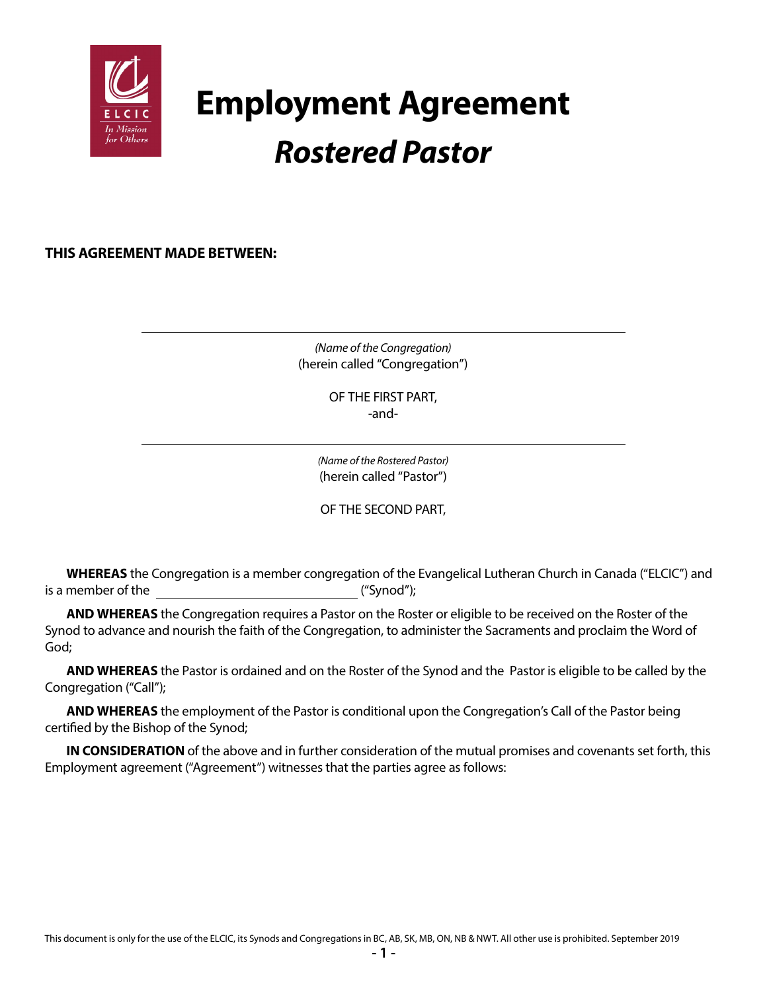

# **Employment Agreement** *Rostered Pastor*

**THIS AGREEMENT MADE BETWEEN:**

*(Name of the Congregation)* (herein called "Congregation")

> OF THE FIRST PART, -and-

*(Name of the Rostered Pastor)* (herein called "Pastor")

OF THE SECOND PART,

**WHEREAS** the Congregation is a member congregation of the Evangelical Lutheran Church in Canada ("ELCIC") and is a member of the ("Synod");

**AND WHEREAS** the Congregation requires a Pastor on the Roster or eligible to be received on the Roster of the Synod to advance and nourish the faith of the Congregation, to administer the Sacraments and proclaim the Word of God;

**AND WHEREAS** the Pastor is ordained and on the Roster of the Synod and the Pastor is eligible to be called by the Congregation ("Call");

**AND WHEREAS** the employment of the Pastor is conditional upon the Congregation's Call of the Pastor being certified by the Bishop of the Synod;

**IN CONSIDERATION** of the above and in further consideration of the mutual promises and covenants set forth, this Employment agreement ("Agreement") witnesses that the parties agree as follows: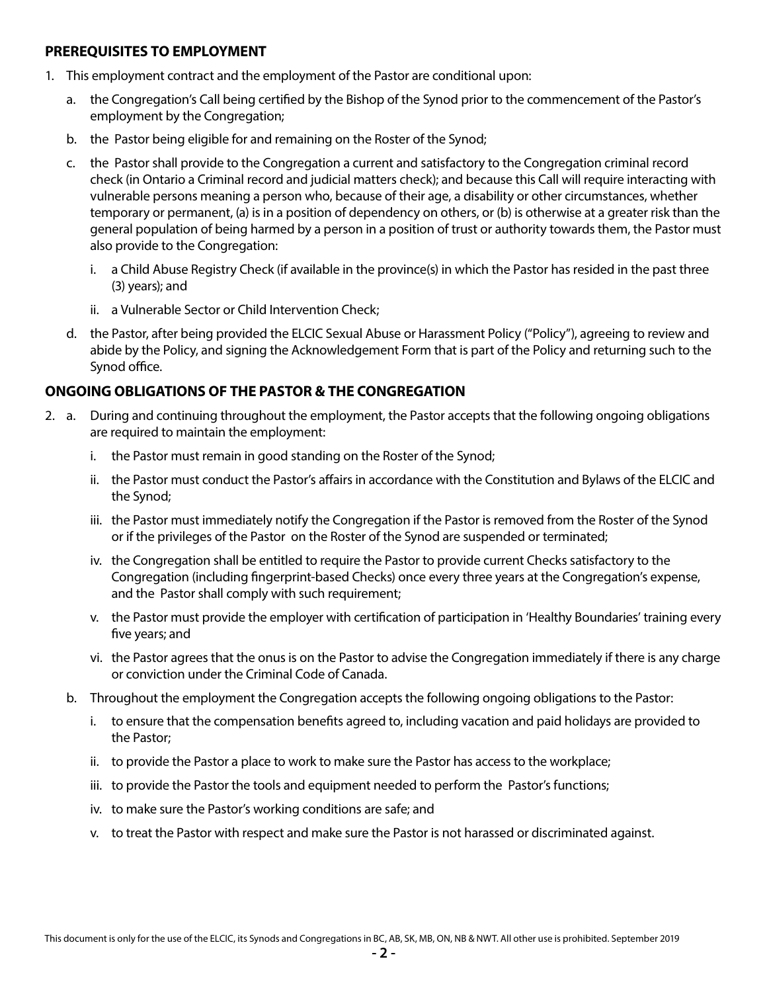#### **PREREQUISITES TO EMPLOYMENT**

- 1. This employment contract and the employment of the Pastor are conditional upon:
	- a. the Congregation's Call being certified by the Bishop of the Synod prior to the commencement of the Pastor's employment by the Congregation;
	- b. the Pastor being eligible for and remaining on the Roster of the Synod;
	- c. the Pastor shall provide to the Congregation a current and satisfactory to the Congregation criminal record check (in Ontario a Criminal record and judicial matters check); and because this Call will require interacting with vulnerable persons meaning a person who, because of their age, a disability or other circumstances, whether temporary or permanent, (a) is in a position of dependency on others, or (b) is otherwise at a greater risk than the general population of being harmed by a person in a position of trust or authority towards them, the Pastor must also provide to the Congregation:
		- i. a Child Abuse Registry Check (if available in the province(s) in which the Pastor has resided in the past three (3) years); and
		- ii. a Vulnerable Sector or Child Intervention Check;
	- d. the Pastor, after being provided the ELCIC Sexual Abuse or Harassment Policy ("Policy"), agreeing to review and abide by the Policy, and signing the Acknowledgement Form that is part of the Policy and returning such to the Synod office.

# **ONGOING OBLIGATIONS OF THE PASTOR & THE CONGREGATION**

- 2. a. During and continuing throughout the employment, the Pastor accepts that the following ongoing obligations are required to maintain the employment:
	- i. the Pastor must remain in good standing on the Roster of the Synod;
	- ii. the Pastor must conduct the Pastor's affairs in accordance with the Constitution and Bylaws of the ELCIC and the Synod;
	- iii. the Pastor must immediately notify the Congregation if the Pastor is removed from the Roster of the Synod or if the privileges of the Pastor on the Roster of the Synod are suspended or terminated;
	- iv. the Congregation shall be entitled to require the Pastor to provide current Checks satisfactory to the Congregation (including fingerprint-based Checks) once every three years at the Congregation's expense, and the Pastor shall comply with such requirement;
	- v. the Pastor must provide the employer with certification of participation in 'Healthy Boundaries' training every five years; and
	- vi. the Pastor agrees that the onus is on the Pastor to advise the Congregation immediately if there is any charge or conviction under the Criminal Code of Canada.
	- b. Throughout the employment the Congregation accepts the following ongoing obligations to the Pastor:
		- i. to ensure that the compensation benefits agreed to, including vacation and paid holidays are provided to the Pastor;
		- ii. to provide the Pastor a place to work to make sure the Pastor has access to the workplace;
		- iii. to provide the Pastor the tools and equipment needed to perform the Pastor's functions;
		- iv. to make sure the Pastor's working conditions are safe; and
		- v. to treat the Pastor with respect and make sure the Pastor is not harassed or discriminated against.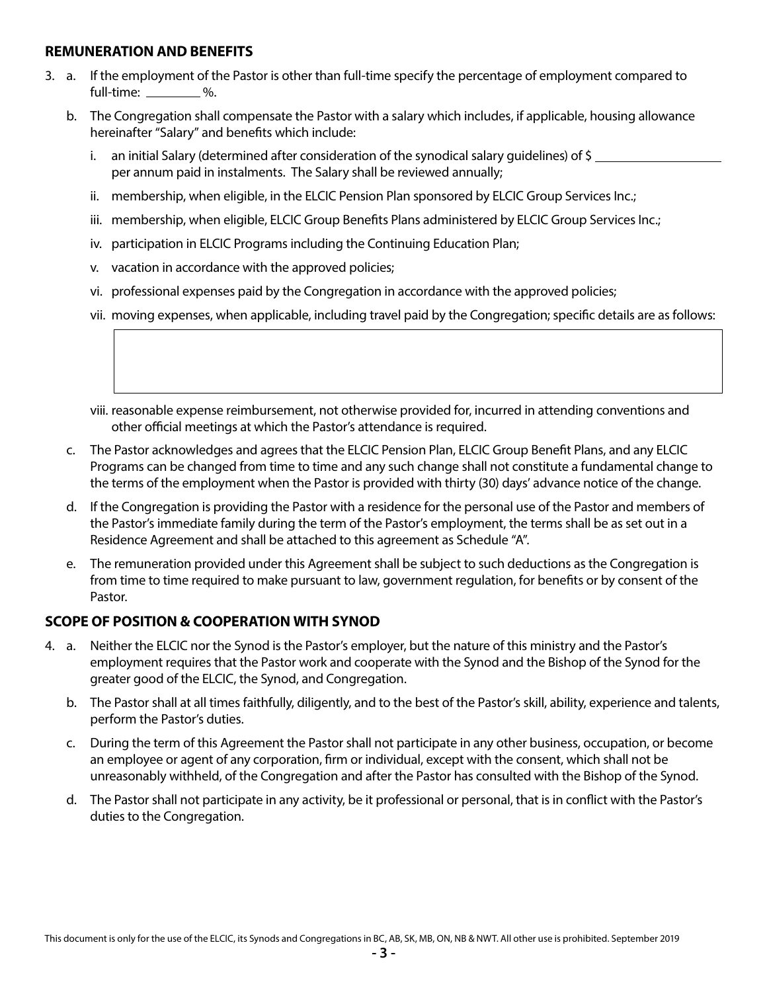#### **REMUNERATION AND BENEFITS**

- 3. a. If the employment of the Pastor is other than full-time specify the percentage of employment compared to full-time: <u>with  $\frac{9}{6}$ </u>.
	- b. The Congregation shall compensate the Pastor with a salary which includes, if applicable, housing allowance hereinafter "Salary" and benefits which include:
		- i. an initial Salary (determined after consideration of the synodical salary guidelines) of \$ per annum paid in instalments. The Salary shall be reviewed annually;
		- ii. membership, when eligible, in the ELCIC Pension Plan sponsored by ELCIC Group Services Inc.;
		- iii. membership, when eligible, ELCIC Group Benefits Plans administered by ELCIC Group Services Inc.;
		- iv. participation in ELCIC Programs including the Continuing Education Plan;
		- v. vacation in accordance with the approved policies;
		- vi. professional expenses paid by the Congregation in accordance with the approved policies;
		- vii. moving expenses, when applicable, including travel paid by the Congregation; specific details are as follows:
		- viii. reasonable expense reimbursement, not otherwise provided for, incurred in attending conventions and other official meetings at which the Pastor's attendance is required.
	- c. The Pastor acknowledges and agrees that the ELCIC Pension Plan, ELCIC Group Benefit Plans, and any ELCIC Programs can be changed from time to time and any such change shall not constitute a fundamental change to the terms of the employment when the Pastor is provided with thirty (30) days' advance notice of the change.
	- d. If the Congregation is providing the Pastor with a residence for the personal use of the Pastor and members of the Pastor's immediate family during the term of the Pastor's employment, the terms shall be as set out in a Residence Agreement and shall be attached to this agreement as Schedule "A".
	- e. The remuneration provided under this Agreement shall be subject to such deductions as the Congregation is from time to time required to make pursuant to law, government regulation, for benefits or by consent of the Pastor.

# **SCOPE OF POSITION & COOPERATION WITH SYNOD**

- 4. a. Neither the ELCIC nor the Synod is the Pastor's employer, but the nature of this ministry and the Pastor's employment requires that the Pastor work and cooperate with the Synod and the Bishop of the Synod for the greater good of the ELCIC, the Synod, and Congregation.
	- b. The Pastor shall at all times faithfully, diligently, and to the best of the Pastor's skill, ability, experience and talents, perform the Pastor's duties.
	- c. During the term of this Agreement the Pastor shall not participate in any other business, occupation, or become an employee or agent of any corporation, firm or individual, except with the consent, which shall not be unreasonably withheld, of the Congregation and after the Pastor has consulted with the Bishop of the Synod.
	- d. The Pastor shall not participate in any activity, be it professional or personal, that is in conflict with the Pastor's duties to the Congregation.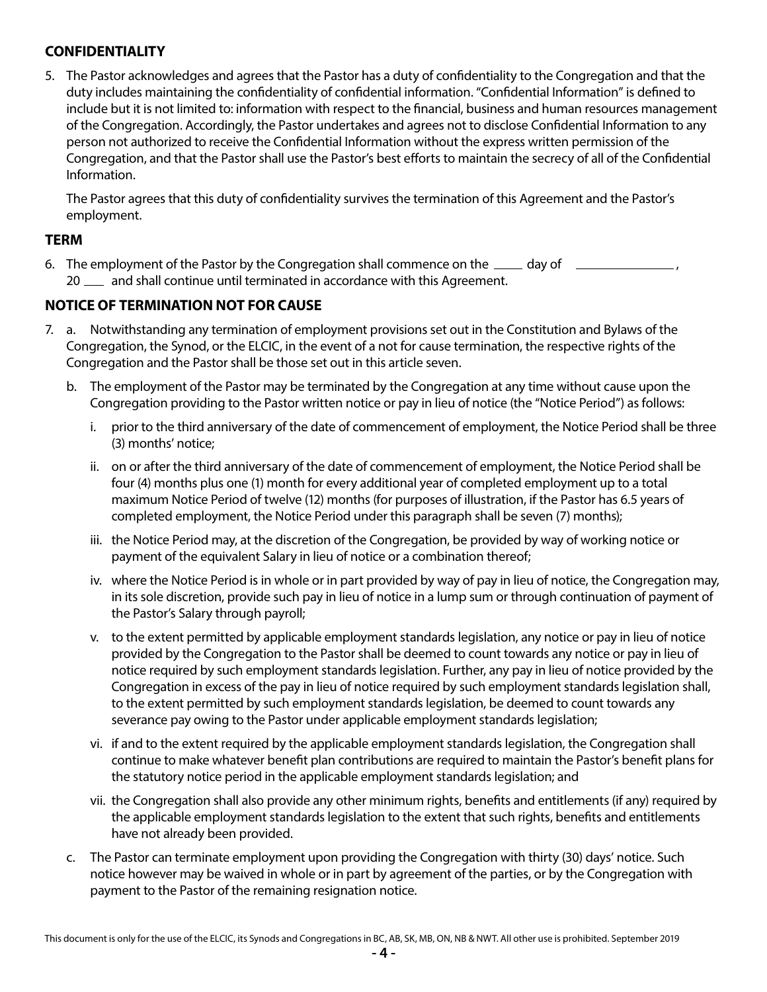# **CONFIDENTIALITY**

5. The Pastor acknowledges and agrees that the Pastor has a duty of confidentiality to the Congregation and that the duty includes maintaining the confidentiality of confidential information. "Confidential Information" is defined to include but it is not limited to: information with respect to the financial, business and human resources management of the Congregation. Accordingly, the Pastor undertakes and agrees not to disclose Confidential Information to any person not authorized to receive the Confidential Information without the express written permission of the Congregation, and that the Pastor shall use the Pastor's best efforts to maintain the secrecy of all of the Confidential Information.

The Pastor agrees that this duty of confidentiality survives the termination of this Agreement and the Pastor's employment.

#### **TERM**

6. The employment of the Pastor by the Congregation shall commence on the  $\mu$  day of 20  $\mu$  and shall continue until terminated in accordance with this Agreement.

# **NOTICE OF TERMINATION NOT FOR CAUSE**

- 7. a. Notwithstanding any termination of employment provisions set out in the Constitution and Bylaws of the Congregation, the Synod, or the ELCIC, in the event of a not for cause termination, the respective rights of the Congregation and the Pastor shall be those set out in this article seven.
	- b. The employment of the Pastor may be terminated by the Congregation at any time without cause upon the Congregation providing to the Pastor written notice or pay in lieu of notice (the "Notice Period") as follows:
		- i. prior to the third anniversary of the date of commencement of employment, the Notice Period shall be three (3) months' notice;
		- ii. on or after the third anniversary of the date of commencement of employment, the Notice Period shall be four (4) months plus one (1) month for every additional year of completed employment up to a total maximum Notice Period of twelve (12) months (for purposes of illustration, if the Pastor has 6.5 years of completed employment, the Notice Period under this paragraph shall be seven (7) months);
		- iii. the Notice Period may, at the discretion of the Congregation, be provided by way of working notice or payment of the equivalent Salary in lieu of notice or a combination thereof;
		- iv. where the Notice Period is in whole or in part provided by way of pay in lieu of notice, the Congregation may, in its sole discretion, provide such pay in lieu of notice in a lump sum or through continuation of payment of the Pastor's Salary through payroll;
		- v. to the extent permitted by applicable employment standards legislation, any notice or pay in lieu of notice provided by the Congregation to the Pastor shall be deemed to count towards any notice or pay in lieu of notice required by such employment standards legislation. Further, any pay in lieu of notice provided by the Congregation in excess of the pay in lieu of notice required by such employment standards legislation shall, to the extent permitted by such employment standards legislation, be deemed to count towards any severance pay owing to the Pastor under applicable employment standards legislation;
		- vi. if and to the extent required by the applicable employment standards legislation, the Congregation shall continue to make whatever benefit plan contributions are required to maintain the Pastor's benefit plans for the statutory notice period in the applicable employment standards legislation; and
		- vii. the Congregation shall also provide any other minimum rights, benefits and entitlements (if any) required by the applicable employment standards legislation to the extent that such rights, benefits and entitlements have not already been provided.
	- c. The Pastor can terminate employment upon providing the Congregation with thirty (30) days' notice. Such notice however may be waived in whole or in part by agreement of the parties, or by the Congregation with payment to the Pastor of the remaining resignation notice.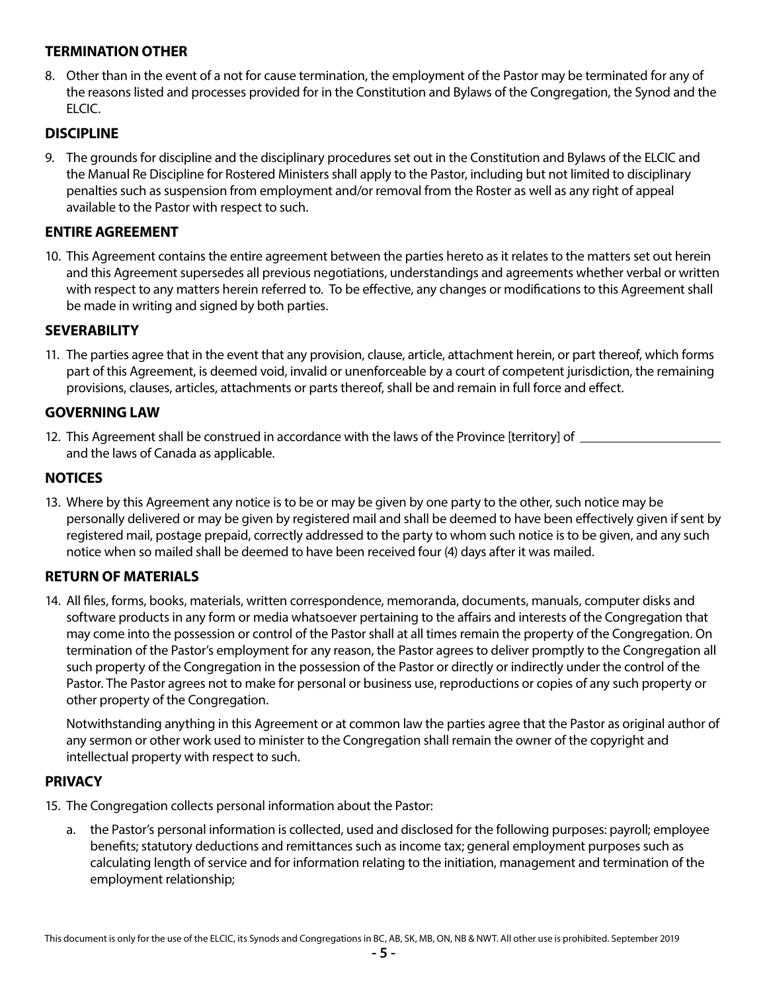# **TERMINATION OTHER**

8. Other than in the event of a not for cause termination, the employment of the Pastor may be terminated for any of the reasons listed and processes provided for in the Constitution and Bylaws of the Congregation, the Synod and the ELCIC.

### **DISCIPLINE**

9. The grounds for discipline and the disciplinary procedures set out in the Constitution and Bylaws of the ELCIC and the Manual Re Discipline for Rostered Ministers shall apply to the Pastor, including but not limited to disciplinary penalties such as suspension from employment and/or removal from the Roster as well as any right of appeal available to the Pastor with respect to such.

#### **ENTIRE AGREEMENT**

10. This Agreement contains the entire agreement between the parties hereto as it relates to the matters set out herein and this Agreement supersedes all previous negotiations, understandings and agreements whether verbal or written with respect to any matters herein referred to. To be effective, any changes or modifications to this Agreement shall be made in writing and signed by both parties.

#### **SEVERABILITY**

11. The parties agree that in the event that any provision, clause, article, attachment herein, or part thereof, which forms part of this Agreement, is deemed void, invalid or unenforceable by a court of competent jurisdiction, the remaining provisions, clauses, articles, attachments or parts thereof, shall be and remain in full force and effect.

#### **GOVERNING LAW**

12. This Agreement shall be construed in accordance with the laws of the Province [territory] of \_\_\_\_\_\_\_\_\_ and the laws of Canada as applicable.

#### **NOTICES**

13. Where by this Agreement any notice is to be or may be given by one party to the other, such notice may be personally delivered or may be given by registered mail and shall be deemed to have been effectively given if sent by registered mail, postage prepaid, correctly addressed to the party to whom such notice is to be given, and any such notice when so mailed shall be deemed to have been received four (4) days after it was mailed.

#### **RETURN OF MATERIALS**

14. All files, forms, books, materials, written correspondence, memoranda, documents, manuals, computer disks and software products in any form or media whatsoever pertaining to the affairs and interests of the Congregation that may come into the possession or control of the Pastor shall at all times remain the property of the Congregation. On termination of the Pastor's employment for any reason, the Pastor agrees to deliver promptly to the Congregation all such property of the Congregation in the possession of the Pastor or directly or indirectly under the control of the Pastor. The Pastor agrees not to make for personal or business use, reproductions or copies of any such property or other property of the Congregation.

Notwithstanding anything in this Agreement or at common law the parties agree that the Pastor as original author of any sermon or other work used to minister to the Congregation shall remain the owner of the copyright and intellectual property with respect to such.

#### **PRIVACY**

- 15. The Congregation collects personal information about the Pastor:
	- a. the Pastor's personal information is collected, used and disclosed for the following purposes: payroll; employee benefits; statutory deductions and remittances such as income tax; general employment purposes such as calculating length of service and for information relating to the initiation, management and termination of the employment relationship;